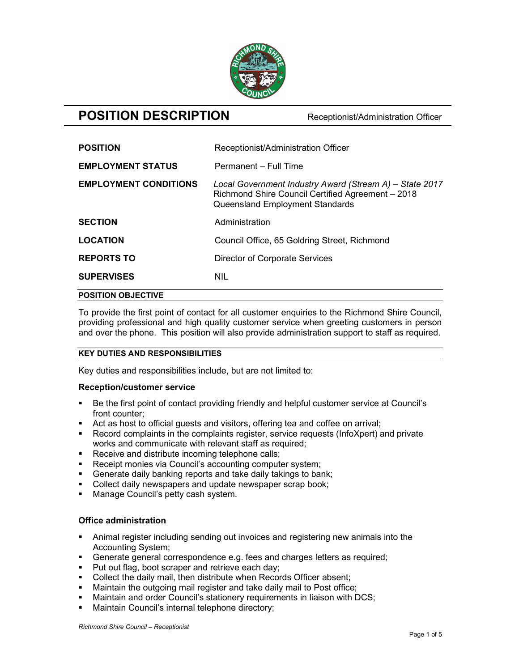

# **POSITION DESCRIPTION** Receptionist/Administration Officer

| <b>POSITION OBJECTIVE</b>    |                                                                                                                                                 |
|------------------------------|-------------------------------------------------------------------------------------------------------------------------------------------------|
| <b>SUPERVISES</b>            | <b>NIL</b>                                                                                                                                      |
| <b>REPORTS TO</b>            | <b>Director of Corporate Services</b>                                                                                                           |
| <b>LOCATION</b>              | Council Office, 65 Goldring Street, Richmond                                                                                                    |
| <b>SECTION</b>               | Administration                                                                                                                                  |
| <b>EMPLOYMENT CONDITIONS</b> | Local Government Industry Award (Stream A) - State 2017<br>Richmond Shire Council Certified Agreement - 2018<br>Queensland Employment Standards |
| <b>EMPLOYMENT STATUS</b>     | Permanent - Full Time                                                                                                                           |
| <b>POSITION</b>              | Receptionist/Administration Officer                                                                                                             |

To provide the first point of contact for all customer enquiries to the Richmond Shire Council, providing professional and high quality customer service when greeting customers in person and over the phone. This position will also provide administration support to staff as required.

## KEY DUTIES AND RESPONSIBILITIES

Key duties and responsibilities include, but are not limited to:

## Reception/customer service

- Be the first point of contact providing friendly and helpful customer service at Council's front counter;
- Act as host to official guests and visitors, offering tea and coffee on arrival;
- Record complaints in the complaints register, service requests (InfoXpert) and private works and communicate with relevant staff as required;
- Receive and distribute incoming telephone calls;
- Receipt monies via Council's accounting computer system;
- Generate daily banking reports and take daily takings to bank;
- Collect daily newspapers and update newspaper scrap book;
- **Manage Council's petty cash system.**

## Office administration

- Animal register including sending out invoices and registering new animals into the Accounting System;
- Generate general correspondence e.g. fees and charges letters as required;
- **Put out flag, boot scraper and retrieve each day;**
- Collect the daily mail, then distribute when Records Officer absent;
- Maintain the outgoing mail register and take daily mail to Post office;
- Maintain and order Council's stationery requirements in liaison with DCS;
- **Maintain Council's internal telephone directory;**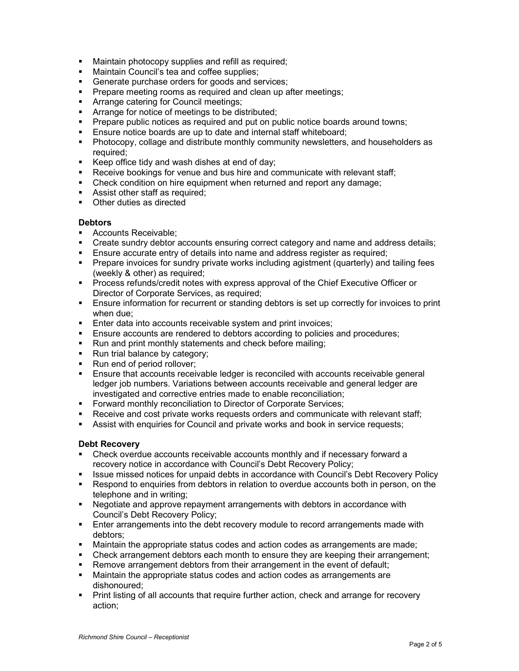- **Maintain photocopy supplies and refill as required;**
- Maintain Council's tea and coffee supplies;
- **Generate purchase orders for goods and services;**
- **Prepare meeting rooms as required and clean up after meetings;**
- **Arrange catering for Council meetings;**
- **Arrange for notice of meetings to be distributed;**
- **Prepare public notices as required and put on public notice boards around towns;**
- **Ensure notice boards are up to date and internal staff whiteboard:**
- Photocopy, collage and distribute monthly community newsletters, and householders as required;
- Keep office tidy and wash dishes at end of day;
- Receive bookings for venue and bus hire and communicate with relevant staff;
- Check condition on hire equipment when returned and report any damage;
- **Assist other staff as required;**
- Other duties as directed

## **Debtors**

- **Accounts Receivable:**
- Create sundry debtor accounts ensuring correct category and name and address details;
- Ensure accurate entry of details into name and address register as required;
- Prepare invoices for sundry private works including agistment (quarterly) and tailing fees (weekly & other) as required;
- Process refunds/credit notes with express approval of the Chief Executive Officer or Director of Corporate Services, as required;
- **Ensure information for recurrent or standing debtors is set up correctly for invoices to print** when due;
- **Enter data into accounts receivable system and print invoices;**
- Ensure accounts are rendered to debtors according to policies and procedures;
- Run and print monthly statements and check before mailing;
- Run trial balance by category;
- Run end of period rollover;
- Ensure that accounts receivable ledger is reconciled with accounts receivable general ledger job numbers. Variations between accounts receivable and general ledger are investigated and corrective entries made to enable reconciliation;
- **Forward monthly reconciliation to Director of Corporate Services;**
- Receive and cost private works requests orders and communicate with relevant staff;
- Assist with enquiries for Council and private works and book in service requests;

## Debt Recovery

- Check overdue accounts receivable accounts monthly and if necessary forward a recovery notice in accordance with Council's Debt Recovery Policy;
- **ISSUE missed notices for unpaid debts in accordance with Council's Debt Recovery Policy**
- Respond to enquiries from debtors in relation to overdue accounts both in person, on the telephone and in writing;
- Negotiate and approve repayment arrangements with debtors in accordance with Council's Debt Recovery Policy;
- **Enter arrangements into the debt recovery module to record arrangements made with** debtors;
- Maintain the appropriate status codes and action codes as arrangements are made;
- Check arrangement debtors each month to ensure they are keeping their arrangement;
- Remove arrangement debtors from their arrangement in the event of default;
- Maintain the appropriate status codes and action codes as arrangements are dishonoured;
- **Print listing of all accounts that require further action, check and arrange for recovery** action;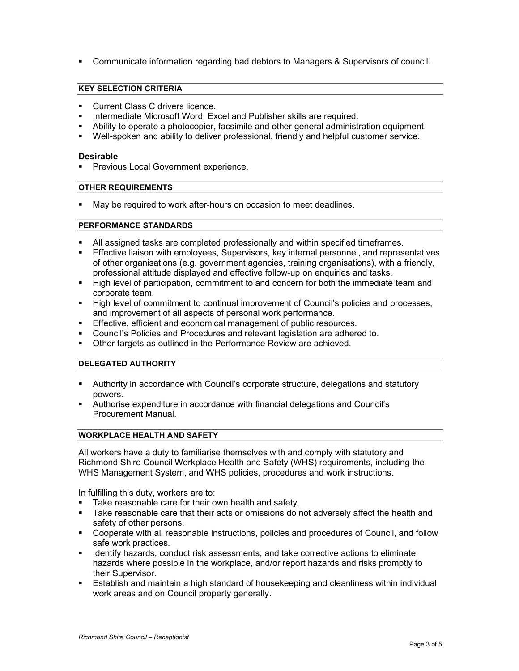Communicate information regarding bad debtors to Managers & Supervisors of council.

## KEY SELECTION CRITERIA

- **Current Class C drivers licence.**
- Intermediate Microsoft Word, Excel and Publisher skills are required.
- Ability to operate a photocopier, facsimile and other general administration equipment.
- Well-spoken and ability to deliver professional, friendly and helpful customer service.

#### Desirable

**Previous Local Government experience.** 

## OTHER REQUIREMENTS

**May be required to work after-hours on occasion to meet deadlines.** 

#### PERFORMANCE STANDARDS

- All assigned tasks are completed professionally and within specified timeframes.
- Effective liaison with employees, Supervisors, key internal personnel, and representatives of other organisations (e.g. government agencies, training organisations), with a friendly, professional attitude displayed and effective follow-up on enquiries and tasks.
- High level of participation, commitment to and concern for both the immediate team and corporate team.
- High level of commitment to continual improvement of Council's policies and processes, and improvement of all aspects of personal work performance.
- **Effective, efficient and economical management of public resources.**
- Council's Policies and Procedures and relevant legislation are adhered to.
- **Other targets as outlined in the Performance Review are achieved.**

### DELEGATED AUTHORITY

- Authority in accordance with Council's corporate structure, delegations and statutory powers.
- Authorise expenditure in accordance with financial delegations and Council's Procurement Manual.

## WORKPLACE HEALTH AND SAFETY

All workers have a duty to familiarise themselves with and comply with statutory and Richmond Shire Council Workplace Health and Safety (WHS) requirements, including the WHS Management System, and WHS policies, procedures and work instructions.

In fulfilling this duty, workers are to:

- Take reasonable care for their own health and safety.
- **Take reasonable care that their acts or omissions do not adversely affect the health and** safety of other persons.
- Cooperate with all reasonable instructions, policies and procedures of Council, and follow safe work practices.
- **If all identify hazards, conduct risk assessments, and take corrective actions to eliminate** hazards where possible in the workplace, and/or report hazards and risks promptly to their Supervisor.
- Establish and maintain a high standard of housekeeping and cleanliness within individual work areas and on Council property generally.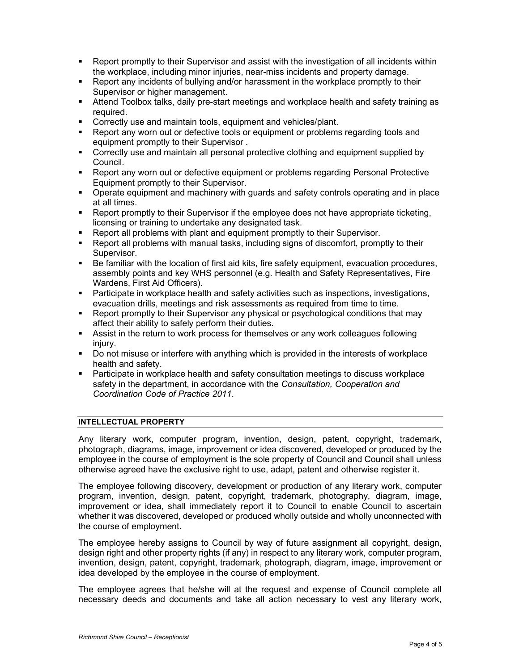- Report promptly to their Supervisor and assist with the investigation of all incidents within the workplace, including minor injuries, near-miss incidents and property damage.
- Report any incidents of bullying and/or harassment in the workplace promptly to their Supervisor or higher management.
- Attend Toolbox talks, daily pre-start meetings and workplace health and safety training as required.
- **Correctly use and maintain tools, equipment and vehicles/plant.**
- Report any worn out or defective tools or equipment or problems regarding tools and equipment promptly to their Supervisor .
- Correctly use and maintain all personal protective clothing and equipment supplied by Council.
- Report any worn out or defective equipment or problems regarding Personal Protective Equipment promptly to their Supervisor.
- Operate equipment and machinery with guards and safety controls operating and in place at all times.
- **EXECT** PREPORT PROPTIVE TO THE INTEGRAL THE SUPERVISOR IF the employee does not have appropriate ticketing, licensing or training to undertake any designated task.
- Report all problems with plant and equipment promptly to their Supervisor.
- Report all problems with manual tasks, including signs of discomfort, promptly to their Supervisor.
- Be familiar with the location of first aid kits, fire safety equipment, evacuation procedures, assembly points and key WHS personnel (e.g. Health and Safety Representatives, Fire Wardens, First Aid Officers).
- **Participate in workplace health and safety activities such as inspections, investigations,** evacuation drills, meetings and risk assessments as required from time to time.
- Report promptly to their Supervisor any physical or psychological conditions that may affect their ability to safely perform their duties.
- Assist in the return to work process for themselves or any work colleagues following injury.
- **Do not misuse or interfere with anything which is provided in the interests of workplace** health and safety.
- Participate in workplace health and safety consultation meetings to discuss workplace safety in the department, in accordance with the Consultation, Cooperation and Coordination Code of Practice 2011.

## INTELLECTUAL PROPERTY

Any literary work, computer program, invention, design, patent, copyright, trademark, photograph, diagrams, image, improvement or idea discovered, developed or produced by the employee in the course of employment is the sole property of Council and Council shall unless otherwise agreed have the exclusive right to use, adapt, patent and otherwise register it.

The employee following discovery, development or production of any literary work, computer program, invention, design, patent, copyright, trademark, photography, diagram, image, improvement or idea, shall immediately report it to Council to enable Council to ascertain whether it was discovered, developed or produced wholly outside and wholly unconnected with the course of employment.

The employee hereby assigns to Council by way of future assignment all copyright, design, design right and other property rights (if any) in respect to any literary work, computer program, invention, design, patent, copyright, trademark, photograph, diagram, image, improvement or idea developed by the employee in the course of employment.

The employee agrees that he/she will at the request and expense of Council complete all necessary deeds and documents and take all action necessary to vest any literary work,